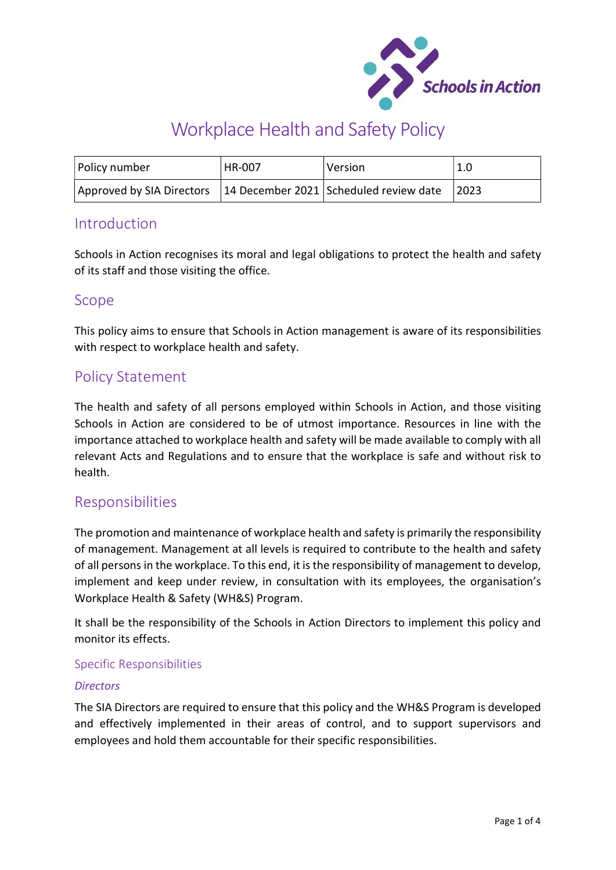

# Workplace Health and Safety Policy

| Policy number                                                      | HR-007 | <b>Version</b> | 1.0   |
|--------------------------------------------------------------------|--------|----------------|-------|
| Approved by SIA Directors   14 December 2021 Scheduled review date |        |                | 12023 |

## Introduction

Schools in Action recognises its moral and legal obligations to protect the health and safety of its staff and those visiting the office.

## Scope

This policy aims to ensure that Schools in Action management is aware of its responsibilities with respect to workplace health and safety.

# Policy Statement

The health and safety of all persons employed within Schools in Action, and those visiting Schools in Action are considered to be of utmost importance. Resources in line with the importance attached to workplace health and safety will be made available to comply with all relevant Acts and Regulations and to ensure that the workplace is safe and without risk to health.

# Responsibilities

The promotion and maintenance of workplace health and safety is primarily the responsibility of management. Management at all levels is required to contribute to the health and safety of all persons in the workplace. To this end, it is the responsibility of management to develop, implement and keep under review, in consultation with its employees, the organisation's Workplace Health & Safety (WH&S) Program.

It shall be the responsibility of the Schools in Action Directors to implement this policy and monitor its effects.

#### Specific Responsibilities

#### **Directors**

The SIA Directors are required to ensure that this policy and the WH&S Program is developed and effectively implemented in their areas of control, and to support supervisors and employees and hold them accountable for their specific responsibilities.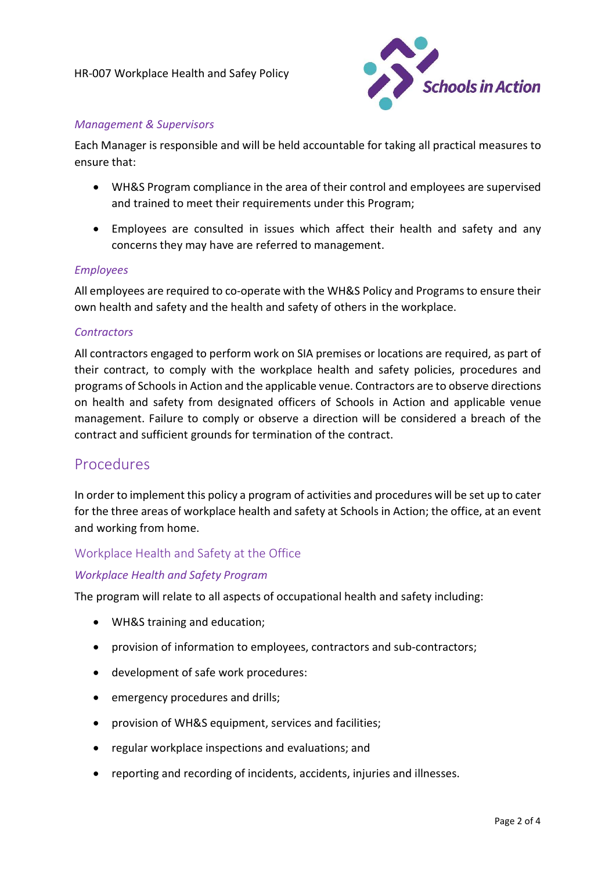

#### Management & Supervisors

Each Manager is responsible and will be held accountable for taking all practical measures to ensure that:

- WH&S Program compliance in the area of their control and employees are supervised and trained to meet their requirements under this Program;
- Employees are consulted in issues which affect their health and safety and any concerns they may have are referred to management.

#### Employees

All employees are required to co-operate with the WH&S Policy and Programs to ensure their own health and safety and the health and safety of others in the workplace.

#### **Contractors**

All contractors engaged to perform work on SIA premises or locations are required, as part of their contract, to comply with the workplace health and safety policies, procedures and programs of Schools in Action and the applicable venue. Contractors are to observe directions on health and safety from designated officers of Schools in Action and applicable venue management. Failure to comply or observe a direction will be considered a breach of the contract and sufficient grounds for termination of the contract.

## **Procedures**

In order to implement this policy a program of activities and procedures will be set up to cater for the three areas of workplace health and safety at Schools in Action; the office, at an event and working from home.

#### Workplace Health and Safety at the Office

#### Workplace Health and Safety Program

The program will relate to all aspects of occupational health and safety including:

- WH&S training and education;
- provision of information to employees, contractors and sub-contractors;
- development of safe work procedures:
- emergency procedures and drills;
- provision of WH&S equipment, services and facilities;
- regular workplace inspections and evaluations; and
- reporting and recording of incidents, accidents, injuries and illnesses.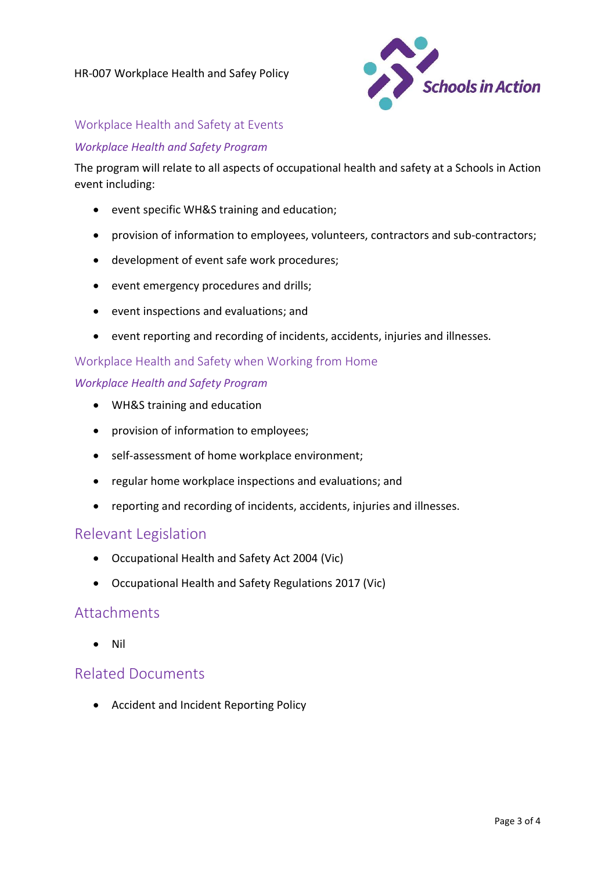

### Workplace Health and Safety at Events

#### Workplace Health and Safety Program

The program will relate to all aspects of occupational health and safety at a Schools in Action event including:

- event specific WH&S training and education;
- provision of information to employees, volunteers, contractors and sub-contractors;
- development of event safe work procedures;
- event emergency procedures and drills;
- event inspections and evaluations; and
- event reporting and recording of incidents, accidents, injuries and illnesses.

#### Workplace Health and Safety when Working from Home

#### Workplace Health and Safety Program

- WH&S training and education
- provision of information to employees;
- self-assessment of home workplace environment;
- regular home workplace inspections and evaluations; and
- reporting and recording of incidents, accidents, injuries and illnesses.

### Relevant Legislation

- Occupational Health and Safety Act 2004 (Vic)
- Occupational Health and Safety Regulations 2017 (Vic)

## **Attachments**

Nil

## Related Documents

Accident and Incident Reporting Policy